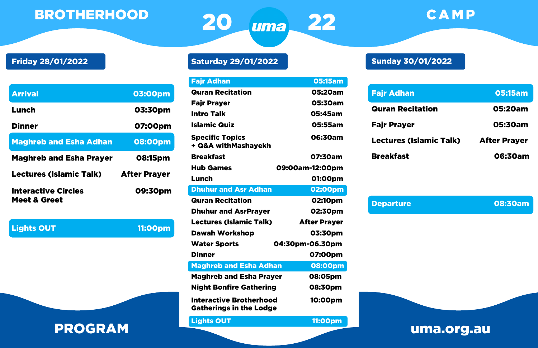Saturday 29/01/2022

| <b>Fajr Adhan</b>                                                | <b>05:15am</b>      |    |
|------------------------------------------------------------------|---------------------|----|
| <b>Quran Recitation</b>                                          | 05:20am             | Fa |
| Fajr Prayer                                                      | 05:30am             |    |
| <b>Intro Talk</b>                                                | 05:45am             | QL |
| <b>Islamic Quiz</b>                                              | 05:55am             | Fa |
| <b>Specific Topics</b><br>+ Q&A withMashayekh                    | 06:30am             | Le |
| <b>Breakfast</b>                                                 | 07:30am             | Br |
| <b>Hub Games</b>                                                 | 09:00am-12:00pm     |    |
| Lunch                                                            | 01:00pm             |    |
| <b>Dhuhur and Asr Adhan</b>                                      | 02:00pm             |    |
| <b>Quran Recitation</b>                                          | 02:10pm             | De |
| <b>Dhuhur and AsrPrayer</b>                                      | 02:30pm             |    |
| <b>Lectures (Islamic Talk)</b>                                   | <b>After Prayer</b> |    |
| <b>Dawah Workshop</b>                                            | 03:30pm             |    |
| <b>Water Sports</b>                                              | 04:30pm-06.30pm     |    |
| <b>Dinner</b>                                                    | 07:00pm             |    |
| <b>Maghreb and Esha Adhan</b>                                    | 08:00pm             |    |
| <b>Maghreb and Esha Prayer</b>                                   | 08:05pm             |    |
| <b>Night Bonfire Gathering</b>                                   | 08:30pm             |    |
| <b>Interactive Brotherhood</b><br><b>Gatherings in the Lodge</b> | 10:00pm             |    |
| <b>Lights OUT</b>                                                | <b>11:00pm</b>      |    |

## Friday 28/01/2022

| <b>Arrival</b>                                        | 03:00pm             |
|-------------------------------------------------------|---------------------|
| Lunch                                                 | 03:30pm             |
| <b>Dinner</b>                                         | 07:00pm             |
| <b>Maghreb and Esha Adhan</b>                         | 08:00pm             |
| <b>Maghreb and Esha Prayer</b>                        | 08:15pm             |
| <b>Lectures (Islamic Talk)</b>                        | <b>After Prayer</b> |
| <b>Interactive Circles</b><br><b>Meet &amp; Greet</b> | 09:30pm             |

**Lights OUT** 2000 2000 2011:00pm

## Sunday 30/01/2022

| <b>Fajr Adhan</b>              | 05:15am             |  |
|--------------------------------|---------------------|--|
| <b>Quran Recitation</b>        | 05:20am             |  |
| <b>Fajr Prayer</b>             | 05:30am             |  |
| <b>Lectures (Islamic Talk)</b> | <b>After Prayer</b> |  |
| <b>Breakfast</b>               | 06:30am             |  |



Departure 08:30am